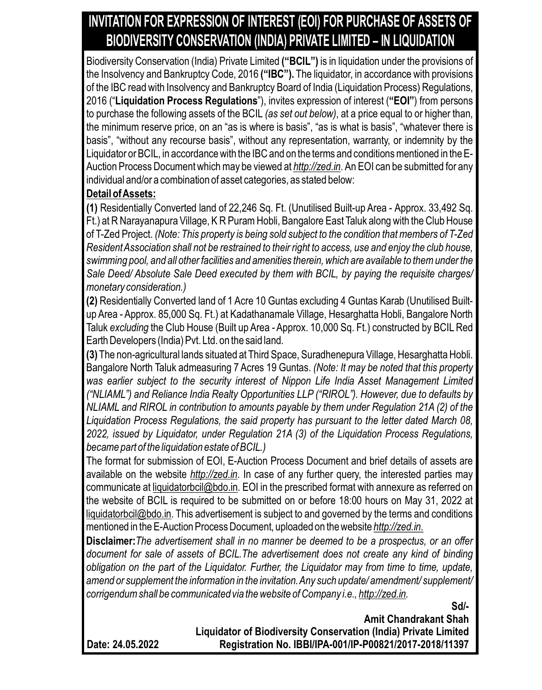## **INVITATION FOR EXPRESSION OF INTEREST (EOI) FOR PURCHASE OF ASSETS OF BIODIVERSITY CONSERVATION (INDIA) PRIVATE LIMITED – IN LIQUIDATION**

Biodiversity Conservation (India) Private Limited **("BCIL")** is in liquidation under the provisions of the Insolvency and Bankruptcy Code, 2016 **("IBC").** The liquidator, in accordance with provisions of the IBC read with Insolvency and Bankruptcy Board of India (Liquidation Process) Regulations, 2016 ("**Liquidation Process Regulations**"), invites expression of interest (**"EOI"**) from persons to purchase the following assets of the BCIL *(as set out below)*, at a price equal to or higher than, the minimum reserve price, on an "as is where is basis", "as is what is basis", "whatever there is basis", "without any recourse basis", without any representation, warranty, or indemnity by the Liquidator or BCIL, in accordance with the IBC and on the terms and conditions mentioned in the E-Auction Process Document which may be viewed at *http://zed.in*. An EOI can be submitted for any individual and/or a combination of asset categories, as stated below:

## **Detail of Assets:**

**(1)** Residentially Converted land of 22,246 Sq. Ft. (Unutilised Built-up Area - Approx. 33,492 Sq. Ft.) at R Narayanapura Village, K R Puram Hobli, Bangalore East Taluk along with the Club House of T-Zed Project. *(Note: This property is being sold subject to the condition that members of T-Zed Resident Association shall not be restrained to their right to access, use and enjoy the club house, swimming pool, and all other facilities and amenities therein, which are available to them under the Sale Deed/ Absolute Sale Deed executed by them with BCIL, by paying the requisite charges/ monetary consideration.)*

**(2)** Residentially Converted land of 1 Acre 10 Guntas excluding 4 Guntas Karab (Unutilised Builtup Area - Approx. 85,000 Sq. Ft.) at Kadathanamale Village, Hesarghatta Hobli, Bangalore North Taluk *excluding* the Club House (Built up Area *-* Approx. 10,000 Sq. Ft.) constructed by BCILRed Earth Developers (India) Pvt. Ltd. on the said land.

**(3)** The non-agricultural lands situated at Third Space, Suradhenepura Village, Hesarghatta Hobli. Bangalore North Taluk admeasuring 7 Acres 19 Guntas. *(Note: It may be noted that this property was earlier subject to the security interest of Nippon Life India Asset Management Limited ("NLIAML") and Reliance India Realty Opportunities LLP ("RIROL"). However, due to defaults by NLIAML and RIROL in contribution to amounts payable by them under Regulation 21A (2) of the Liquidation Process Regulations, the said property has pursuant to the letter dated March 08, 2022, issued by Liquidator, under Regulation 21A (3) of the Liquidation Process Regulations, became part of the liquidation estate of BCIL.)*

The format for submission of EOI, E-Auction Process Document and brief details of assets are available on the website *http://zed.in*. In case of any further query, the interested parties may communicate at liquidatorbcil@bdo.in. EOI in the prescribed format with annexure as referred on the website of BCIL is required to be submitted on or before 18:00 hours on May 31, 2022 at liquidatorbcil@bdo.in. This advertisement is subject to and governed by the terms and conditions mentioned in the E-Auction Process Document, uploaded on the website *http://zed.in*.

**Disclaimer:***The advertisement shall in no manner be deemed to be a prospectus, or an offer document for sale of assets of BCIL.The advertisement does not create any kind of binding obligation on the part of the Liquidator. Further, the Liquidator may from time to time, update, amend or supplement the information in the invitation. Any such update/ amendment/ supplement/ corrigendum shall be communicated via the website of Company i.e., http://zed.in.*

**Sd/-**

**Amit Chandrakant Shah Liquidator of Biodiversity Conservation (India) Private Limited Registration No. IBBI/IPA-001/IP-P00821/2017-2018/11397**

**Date: 24.05.2022**